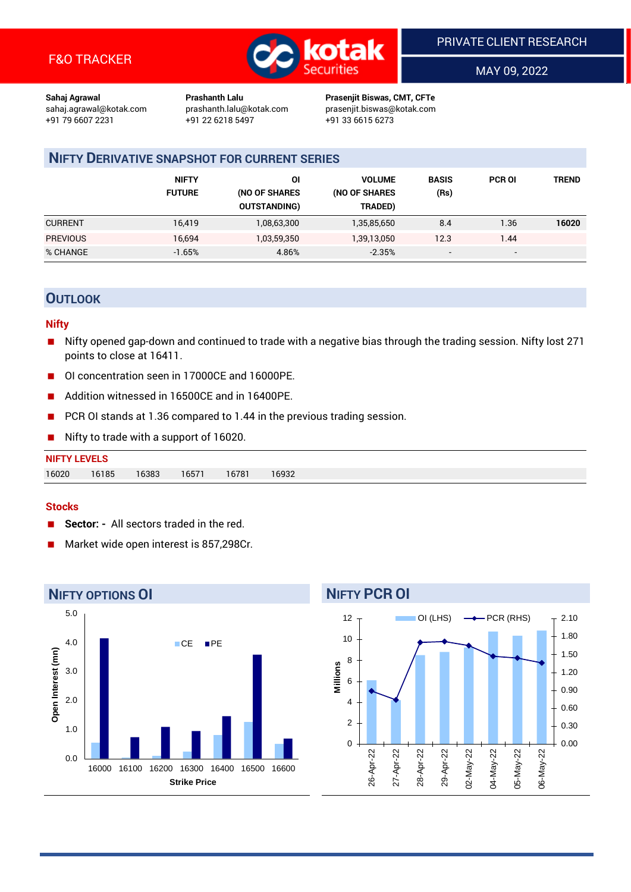

MAY 09, 2022

**Sahaj Agrawal Prashanth Lalu Prasenjit Biswas, CMT, CFTe** +91 22 6218 5497 +91 33 6615 6273

sahaj.agrawal@kotak.com [prashanth.lalu@kotak.com](mailto:prashanth.lalu@kotak.com) prasenjit.biswas@kotak.com

## **NIFTY DERIVATIVE SNAPSHOT FOR CURRENT SERIES**

|                 | <b>NIFTY</b><br><b>FUTURE</b> | 01<br>(NO OF SHARES<br><b>OUTSTANDING)</b> | <b>VOLUME</b><br>(NO OF SHARES<br>TRADED) | <b>BASIS</b><br>(Rs)     | <b>PCR OI</b>            | TREND |
|-----------------|-------------------------------|--------------------------------------------|-------------------------------------------|--------------------------|--------------------------|-------|
| <b>CURRENT</b>  | 16,419                        | 1,08,63,300                                | 1,35,85,650                               | 8.4                      | 1.36                     | 16020 |
| <b>PREVIOUS</b> | 16,694                        | 1,03,59,350                                | 1,39,13,050                               | 12.3                     | 1.44                     |       |
| % CHANGE        | $-1.65%$                      | 4.86%                                      | $-2.35%$                                  | $\overline{\phantom{a}}$ | $\overline{\phantom{0}}$ |       |

### **OUTLOOK**

#### **Nifty**

- Nifty opened gap-down and continued to trade with a negative bias through the trading session. Nifty lost 271 points to close at 16411.
- OI concentration seen in 17000CE and 16000PE.
- Addition witnessed in 16500CE and in 16400PE.
- PCR OI stands at 1.36 compared to 1.44 in the previous trading session.
- Nifty to trade with a support of 16020.

#### **Stocks**

- **Sector:** All sectors traded in the red.
- Market wide open interest is 857,298Cr.



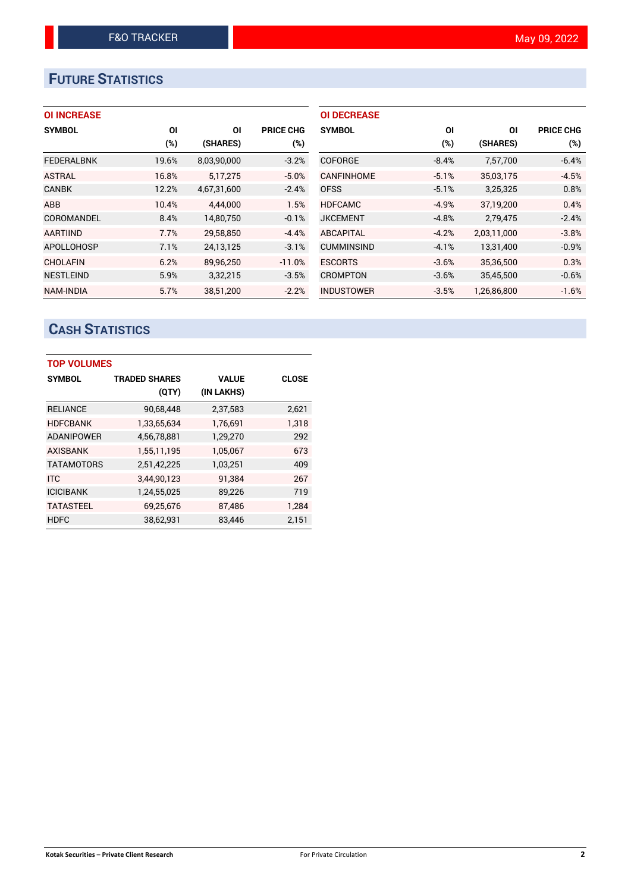# **FUTURE STATISTICS**

## **OI INCREASE**

| <b>SYMBOL</b>     | ΟI    | ΟI          | <b>PRICE CHG</b> |
|-------------------|-------|-------------|------------------|
|                   | (%)   | (SHARES)    | $(\%)$           |
| <b>FEDERALBNK</b> | 19.6% | 8,03,90,000 | $-3.2%$          |
| <b>ASTRAL</b>     | 16.8% | 5,17,275    | $-5.0%$          |
| <b>CANBK</b>      | 12.2% | 4,67,31,600 | $-2.4%$          |
| <b>ABB</b>        | 10.4% | 4,44,000    | 1.5%             |
| COROMANDEL        | 8.4%  | 14,80,750   | $-0.1%$          |
| <b>AARTIIND</b>   | 7.7%  | 29,58,850   | $-4.4%$          |
| <b>APOLLOHOSP</b> | 7.1%  | 24,13,125   | $-3.1%$          |
| <b>CHOLAFIN</b>   | 6.2%  | 89.96.250   | $-11.0%$         |
| <b>NESTLEIND</b>  | 5.9%  | 3,32,215    | $-3.5%$          |
| <b>NAM-INDIA</b>  | 5.7%  | 38,51,200   | $-2.2%$          |

| <b>OI DECREASE</b> |         |             |                  |
|--------------------|---------|-------------|------------------|
| <b>SYMBOL</b>      | ΟI      | ΟI          | <b>PRICE CHG</b> |
|                    | (%)     | (SHARES)    | (%)              |
| <b>COFORGE</b>     | $-8.4%$ | 7,57,700    | $-6.4%$          |
| CANFINHOME         | $-5.1%$ | 35,03,175   | $-4.5%$          |
| <b>OFSS</b>        | $-5.1%$ | 3,25,325    | 0.8%             |
| <b>HDFCAMC</b>     | $-4.9%$ | 37,19,200   | 0.4%             |
| <b>JKCEMENT</b>    | $-4.8%$ | 2,79,475    | $-2.4%$          |
| <b>ABCAPITAL</b>   | $-4.2%$ | 2,03,11,000 | $-3.8%$          |
| <b>CUMMINSIND</b>  | $-4.1%$ | 13,31,400   | $-0.9%$          |
| <b>ESCORTS</b>     | $-3.6%$ | 35,36,500   | 0.3%             |
| <b>CROMPTON</b>    | $-3.6%$ | 35,45,500   | $-0.6%$          |
| <b>INDUSTOWER</b>  | $-3.5%$ | 1.26.86.800 | $-1.6%$          |

# **CASH STATISTICS**

| <b>TOP VOLUMES</b> |                      |              |              |  |  |  |  |
|--------------------|----------------------|--------------|--------------|--|--|--|--|
| <b>SYMBOL</b>      | <b>TRADED SHARES</b> | <b>VALUE</b> | <b>CLOSE</b> |  |  |  |  |
|                    | (QTY)                | (IN LAKHS)   |              |  |  |  |  |
| <b>RELIANCE</b>    | 90,68,448            | 2,37,583     | 2,621        |  |  |  |  |
| <b>HDFCBANK</b>    | 1,33,65,634          | 1,76,691     | 1.318        |  |  |  |  |
| <b>ADANIPOWER</b>  | 4,56,78,881          | 1,29,270     | 292          |  |  |  |  |
| <b>AXISBANK</b>    | 1,55,11,195          | 1,05,067     | 673          |  |  |  |  |
| <b>TATAMOTORS</b>  | 2,51,42,225          | 1,03,251     | 409          |  |  |  |  |
| <b>ITC</b>         | 3,44,90,123          | 91,384       | 267          |  |  |  |  |
| <b>ICICIBANK</b>   | 1,24,55,025          | 89,226       | 719          |  |  |  |  |
| <b>TATASTEEL</b>   | 69,25,676            | 87,486       | 1,284        |  |  |  |  |
| <b>HDFC</b>        | 38,62,931            | 83,446       | 2,151        |  |  |  |  |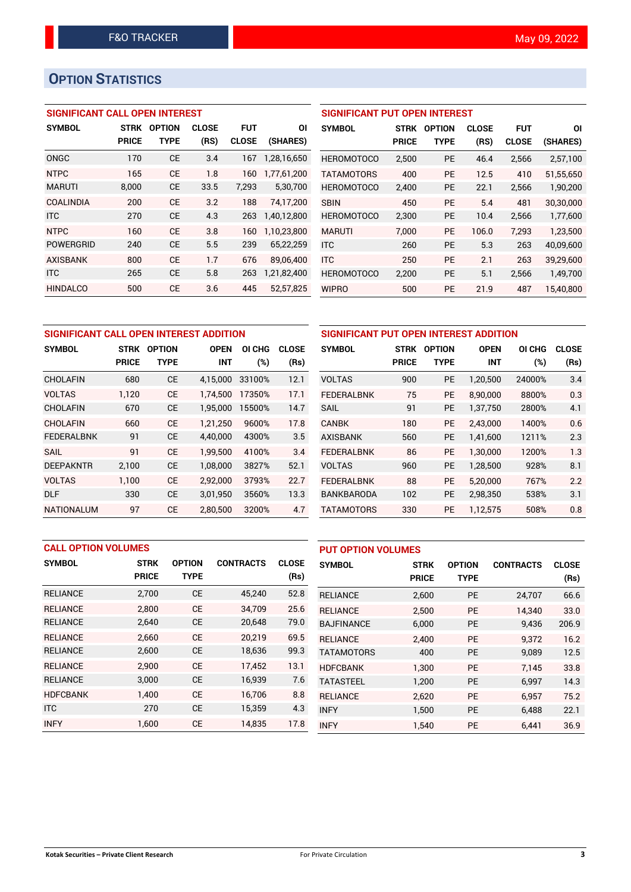## **OPTION STATISTICS**

#### **SIGNIFICANT CALL OPEN INTEREST**

| <b>SYMBOL</b>    | <b>STRK</b>  | <b>OPTION</b> | <b>CLOSE</b> | <b>FUT</b>   | ΟI          |
|------------------|--------------|---------------|--------------|--------------|-------------|
|                  | <b>PRICE</b> | TYPE          | (RS)         | <b>CLOSE</b> | (SHARES)    |
| ONGC             | 170          | <b>CE</b>     | 3.4          | 167          | 1.28.16.650 |
| <b>NTPC</b>      | 165          | CF            | 1.8          | 160          | 1,77,61,200 |
| <b>MARUTI</b>    | 8,000        | СE            | 33.5         | 7.293        | 5,30,700    |
| COALINDIA        | 200          | CE            | 3.2          | 188          | 74.17.200   |
| <b>ITC</b>       | 270          | <b>CE</b>     | 4.3          | 263          | 1,40,12,800 |
| <b>NTPC</b>      | 160          | <b>CE</b>     | 3.8          | 160          | 1,10,23,800 |
| <b>POWERGRID</b> | 240          | <b>CE</b>     | 5.5          | 239          | 65,22,259   |
| <b>AXISBANK</b>  | 800          | <b>CE</b>     | 1.7          | 676          | 89,06,400   |
| <b>ITC</b>       | 265          | <b>CE</b>     | 5.8          | 263          | 1,21,82,400 |
| <b>HINDALCO</b>  | 500          | <b>CE</b>     | 3.6          | 445          | 52,57,825   |

## **SIGNIFICANT PUT OPEN INTEREST SYMBOL STRK OPTION CLOSE FUT OI PRICE TYPE (RS) CLOSE (SHARES)** HEROMOTOCO 2,500 PE 46.4 2,566 2,57,100 TATAMOTORS 400 PE 12.5 410 51,55,650 HEROMOTOCO 2,400 PE 22.1 2,566 1,90,200 SBIN 450 PE 5.4 481 30,30,000 HEROMOTOCO 2,300 PE 10.4 2,566 1,77,600 MARUTI 7,000 PE 106.0 7,293 1,23,500 ITC 260 PE 5.3 263 40,09,600 ITC 250 PE 2.1 263 39,29,600 HEROMOTOCO 2,200 PE 5.1 2,566 1,49,700 WIPRO 500 PE 21.9 487 15,40,800

| SIGNIFICANT CALL OPEN INTEREST ADDITION |              |               |                       |        |              |              |  |
|-----------------------------------------|--------------|---------------|-----------------------|--------|--------------|--------------|--|
| <b>SYMBOL</b>                           | <b>STRK</b>  | <b>OPTION</b> | <b>OPEN</b><br>OI CHG |        | <b>CLOSE</b> | <b>SYMI</b>  |  |
|                                         | <b>PRICE</b> | <b>TYPE</b>   | <b>INT</b>            | $(\%)$ | (Rs)         |              |  |
| <b>CHOLAFIN</b>                         | 680          | <b>CE</b>     | 4,15,000              | 33100% | 12.1         | <b>VOLT</b>  |  |
| <b>VOLTAS</b>                           | 1,120        | <b>CE</b>     | 1,74,500              | 17350% | 17.1         | <b>FEDE</b>  |  |
| <b>CHOLAFIN</b>                         | 670          | <b>CE</b>     | 1,95,000              | 15500% | 14.7         | <b>SAIL</b>  |  |
| <b>CHOLAFIN</b>                         | 660          | <b>CE</b>     | 1,21,250              | 9600%  | 17.8         | <b>CANE</b>  |  |
| <b>FEDERALBNK</b>                       | 91           | <b>CE</b>     | 4,40,000              | 4300%  | 3.5          | <b>AXISI</b> |  |
| <b>SAIL</b>                             | 91           | <b>CE</b>     | 1.99.500              | 4100%  | 3.4          | <b>FEDE</b>  |  |
| <b>DEEPAKNTR</b>                        | 2,100        | <b>CE</b>     | 1.08.000              | 3827%  | 52.1         | <b>VOLT</b>  |  |
| <b>VOLTAS</b>                           | 1,100        | <b>CE</b>     | 2,92,000              | 3793%  | 22.7         | <b>FEDE</b>  |  |
| DLF                                     | 330          | <b>CE</b>     | 3,01,950              | 3560%  | 13.3         | <b>BANK</b>  |  |
| <b>NATIONALUM</b>                       | 97           | <b>CE</b>     | 2.80.500              | 3200%  | 4.7          | <b>TATA</b>  |  |

| SIGNIFICANT PUT OPEN INTEREST ADDITION |              |               |             |        |              |  |  |  |
|----------------------------------------|--------------|---------------|-------------|--------|--------------|--|--|--|
| <b>SYMBOL</b>                          | STRK         | <b>OPTION</b> | <b>OPEN</b> | OI CHG | <b>CLOSE</b> |  |  |  |
|                                        | <b>PRICE</b> | <b>TYPE</b>   | <b>INT</b>  | (%)    | (Rs)         |  |  |  |
| <b>VOLTAS</b>                          | 900          | <b>PE</b>     | 1,20,500    | 24000% | 3.4          |  |  |  |
| <b>FEDERALBNK</b>                      | 75           | PE            | 8,90,000    | 8800%  | 0.3          |  |  |  |
| SAIL                                   | 91           | <b>PE</b>     | 1,37,750    | 2800%  | 4.1          |  |  |  |
| <b>CANBK</b>                           | 180          | <b>PE</b>     | 2,43,000    | 1400%  | 0.6          |  |  |  |
| <b>AXISBANK</b>                        | 560          | <b>PE</b>     | 1,41,600    | 1211%  | 2.3          |  |  |  |
| <b>FEDERALBNK</b>                      | 86           | <b>PE</b>     | 1,30,000    | 1200%  | 1.3          |  |  |  |
| VOLTAS                                 | 960          | <b>PE</b>     | 1,28,500    | 928%   | 8.1          |  |  |  |
| <b>FEDERALBNK</b>                      | 88           | PE            | 5,20,000    | 767%   | 2.2          |  |  |  |
| <b>BANKBARODA</b>                      | 102          | <b>PE</b>     | 2,98,350    | 538%   | 3.1          |  |  |  |
| TATAMOTORS                             | 330          | PE            | 1,12,575    | 508%   | 0.8          |  |  |  |

| <b>CALL OPTION VOLUMES</b> |              |               |                  | <b>PUT OPTION VOLUMES</b> |                   |              |               |                  |              |
|----------------------------|--------------|---------------|------------------|---------------------------|-------------------|--------------|---------------|------------------|--------------|
| <b>SYMBOL</b>              | <b>STRK</b>  | <b>OPTION</b> | <b>CONTRACTS</b> | <b>CLOSE</b>              | <b>SYMBOL</b>     | <b>STRK</b>  | <b>OPTION</b> | <b>CONTRACTS</b> | <b>CLOSE</b> |
|                            | <b>PRICE</b> | <b>TYPE</b>   |                  | (Rs)                      |                   | <b>PRICE</b> | <b>TYPE</b>   |                  | (Rs)         |
| <b>RELIANCE</b>            | 2,700        | <b>CE</b>     | 45,240           | 52.8                      | <b>RELIANCE</b>   | 2,600        | <b>PE</b>     | 24,707           | 66.6         |
| <b>RELIANCE</b>            | 2.800        | <b>CE</b>     | 34,709           | 25.6                      | <b>RELIANCE</b>   | 2.500        | <b>PE</b>     | 14.340           | 33.0         |
| <b>RELIANCE</b>            | 2,640        | <b>CE</b>     | 20,648           | 79.0                      | <b>BAJFINANCE</b> | 6,000        | <b>PE</b>     | 9,436            | 206.9        |
| <b>RELIANCE</b>            | 2.660        | <b>CE</b>     | 20.219           | 69.5                      | <b>RELIANCE</b>   | 2.400        | <b>PE</b>     | 9.372            | 16.2         |
| <b>RELIANCE</b>            | 2,600        | <b>CE</b>     | 18,636           | 99.3                      | <b>TATAMOTORS</b> | 400          | <b>PE</b>     | 9,089            | 12.5         |
| <b>RELIANCE</b>            | 2,900        | <b>CE</b>     | 17,452           | 13.1                      | <b>HDFCBANK</b>   | 1.300        | <b>PE</b>     | 7.145            | 33.8         |
| <b>RELIANCE</b>            | 3,000        | <b>CE</b>     | 16,939           | 7.6                       | <b>TATASTEEL</b>  | 1,200        | <b>PE</b>     | 6,997            | 14.3         |
| <b>HDFCBANK</b>            | 1.400        | <b>CE</b>     | 16.706           | 8.8                       | <b>RELIANCE</b>   | 2,620        | <b>PE</b>     | 6.957            | 75.2         |
| <b>ITC</b>                 | 270          | <b>CE</b>     | 15,359           | 4.3                       | <b>INFY</b>       | 1,500        | <b>PE</b>     | 6.488            | 22.1         |
| <b>INFY</b>                | 1.600        | <b>CE</b>     | 14.835           | 17.8                      | <b>INFY</b>       | 1,540        | PE            | 6.441            | 36.9         |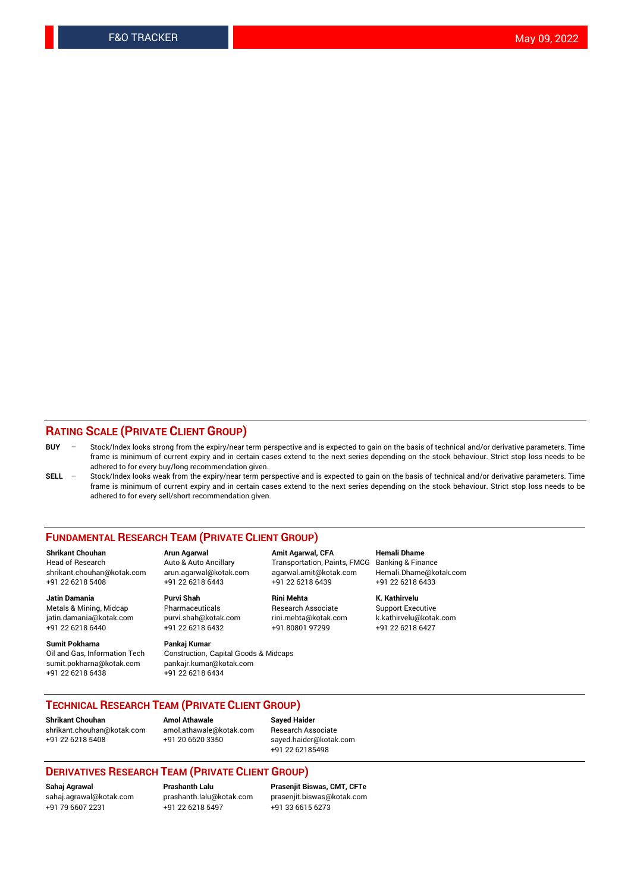#### **RATING SCALE (PRIVATE CLIENT GROUP)**

- **BUY**  Stock/Index looks strong from the expiry/near term perspective and is expected to gain on the basis of technical and/or derivative parameters. Time frame is minimum of current expiry and in certain cases extend to the next series depending on the stock behaviour. Strict stop loss needs to be adhered to for every buy/long recommendation given.
- **SELL** Stock/Index looks weak from the expiry/near term perspective and is expected to gain on the basis of technical and/or derivative parameters. Time frame is minimum of current expiry and in certain cases extend to the next series depending on the stock behaviour. Strict stop loss needs to be adhered to for every sell/short recommendation given.

#### **FUNDAMENTAL RESEARCH TEAM (PRIVATE CLIENT GROUP)**

**Shrikant Chouhan Arun Agarwal Amit Agarwal, CFA Hemali Dhame** shrikant.chouhan@kotak.com arun.agarwal@kotak.com agarwal.amit@kotak.com Hemali.Dhame@kotak.com +91 22 6218 5408 +91 22 6218 6443 +91 22 6218 6439 +91 22 6218 6433

Metals & Mining, Midcap Pharmaceuticals Pharmaceuticals Research Associate Support Executive<br>
iatin.damania@kotak.com purvi.shah@kotak.com rini.mehta@kotak.com k.kathirvelu@kotak.com jatin.damania@kotak.com

**Sumit Pokharna** Pankaj Kumar<br>Oil and Gas, Information Tech Construction, Q sumit.pokharna@kotak.com pankajr.kumar@kotak.com +91 22 6218 6438 +91 22 6218 6434

Construction, Capital Goods & Midcaps

Transportation, Paints, FMCG

**Jatin Damania Purvi Shah Rini Mehta K. Kathirvelu** +91 22 6218 6440 +91 22 6218 6432 +91 80801 97299 +91 22 6218 6427

#### **TECHNICAL RESEARCH TEAM (PRIVATE CLIENT GROUP)**

**Shrikant Chouhan Amol Athawale Sayed Haider** [shrikant.chouhan@kotak.com](mailto:shrikant.chouhan@kotak.com) [amol.athawale@kotak.com](mailto:amol.athawale@kotak.com) Research Associate

+91 22 6218 5408 +91 20 6620 3350 [sayed.haider@kotak.com](mailto:sayed.haider@kotak.com) +91 22 62185498

#### **DERIVATIVES RESEARCH TEAM (PRIVATE CLIENT GROUP)**

+91 79 6607 2231 +91 22 6218 5497 +91 33 6615 6273

**Sahaj Agrawal Prashanth Lalu Prasenjit Biswas, CMT, CFTe** [prasenjit.biswas@kotak.com](mailto:prasenjit.biswas@kotak.com)